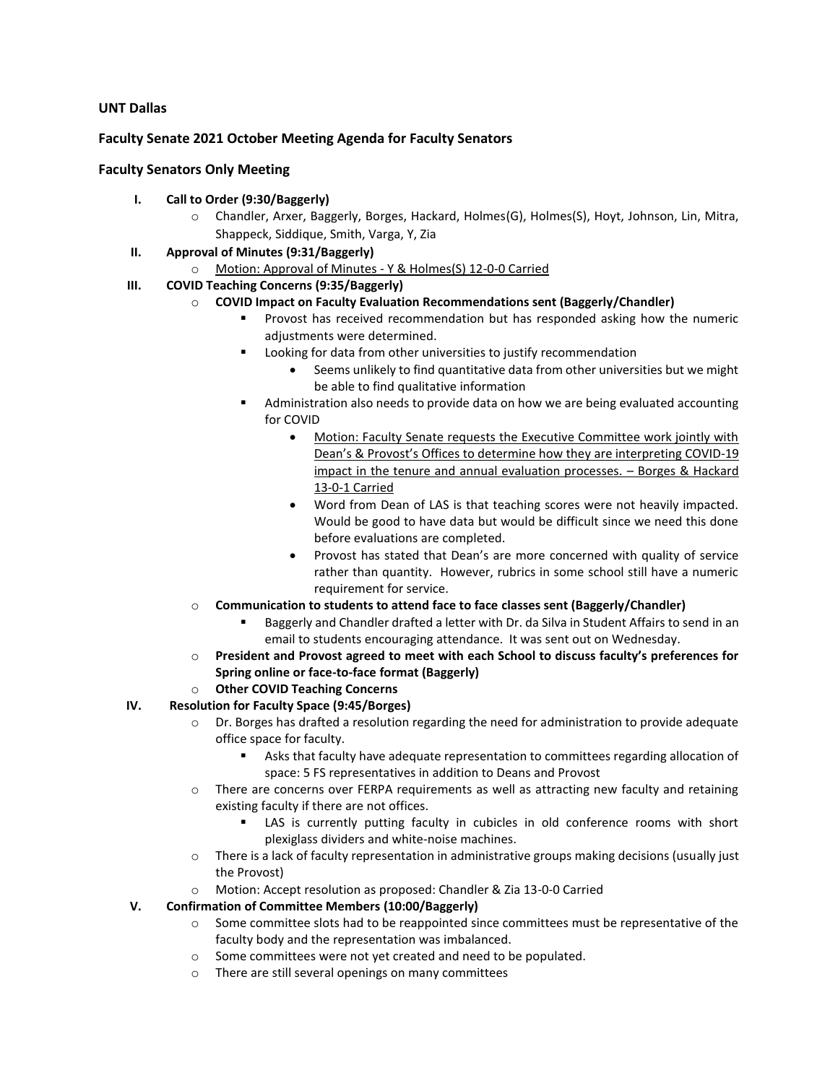# **UNT Dallas**

## **Faculty Senate 2021 October Meeting Agenda for Faculty Senators**

### **Faculty Senators Only Meeting**

- **I. Call to Order (9:30/Baggerly)**
	- o Chandler, Arxer, Baggerly, Borges, Hackard, Holmes(G), Holmes(S), Hoyt, Johnson, Lin, Mitra, Shappeck, Siddique, Smith, Varga, Y, Zia
- **II. Approval of Minutes (9:31/Baggerly)**
	- o Motion: Approval of Minutes Y & Holmes(S) 12-0-0 Carried
- **III. COVID Teaching Concerns (9:35/Baggerly)**
	- o **COVID Impact on Faculty Evaluation Recommendations sent (Baggerly/Chandler)**
		- **•** Provost has received recommendation but has responded asking how the numeric adjustments were determined.
		- Looking for data from other universities to justify recommendation
			- Seems unlikely to find quantitative data from other universities but we might be able to find qualitative information
		- Administration also needs to provide data on how we are being evaluated accounting for COVID
			- Motion: Faculty Senate requests the Executive Committee work jointly with Dean's & Provost's Offices to determine how they are interpreting COVID-19 impact in the tenure and annual evaluation processes. – Borges & Hackard 13-0-1 Carried
			- Word from Dean of LAS is that teaching scores were not heavily impacted. Would be good to have data but would be difficult since we need this done before evaluations are completed.
			- Provost has stated that Dean's are more concerned with quality of service rather than quantity. However, rubrics in some school still have a numeric requirement for service.
	- o **Communication to students to attend face to face classes sent (Baggerly/Chandler)**
		- Baggerly and Chandler drafted a letter with Dr. da Silva in Student Affairs to send in an email to students encouraging attendance. It was sent out on Wednesday.
	- o **President and Provost agreed to meet with each School to discuss faculty's preferences for Spring online or face-to-face format (Baggerly)**
	- o **Other COVID Teaching Concerns**
- **IV. Resolution for Faculty Space (9:45/Borges)** 
	- o Dr. Borges has drafted a resolution regarding the need for administration to provide adequate office space for faculty.
		- Asks that faculty have adequate representation to committees regarding allocation of space: 5 FS representatives in addition to Deans and Provost
	- o There are concerns over FERPA requirements as well as attracting new faculty and retaining existing faculty if there are not offices.
		- LAS is currently putting faculty in cubicles in old conference rooms with short plexiglass dividers and white-noise machines.
	- o There is a lack of faculty representation in administrative groups making decisions (usually just the Provost)
	- o Motion: Accept resolution as proposed: Chandler & Zia 13-0-0 Carried
- **V. Confirmation of Committee Members (10:00/Baggerly)**
	- o Some committee slots had to be reappointed since committees must be representative of the faculty body and the representation was imbalanced.
	- o Some committees were not yet created and need to be populated.
	- o There are still several openings on many committees